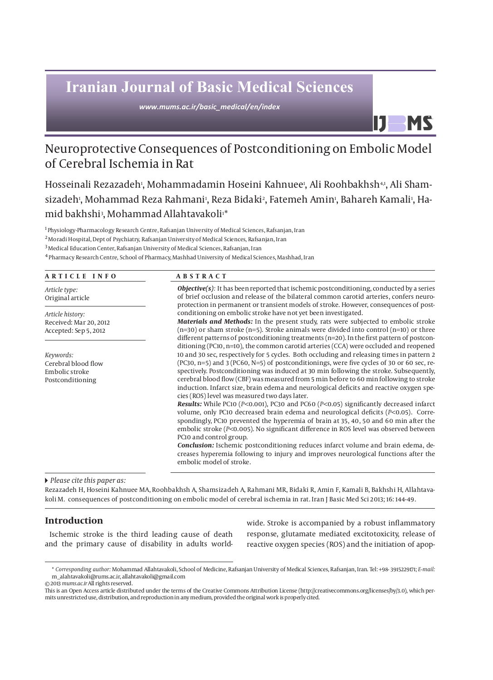# **Iranian Journal of Basic Medical Sciences**

*www.mums.ac.ir/basic\_medical/en/index*

## Neuroprotective Consequences of Postconditioning on Embolic Model of Cerebral Ischemia in Rat

Hosseinali Rezazadeh<sub>'</sub>, Mohammadamin Hoseini Kahnuee<sub>'</sub>, Ali Roohbakhsh41, Ali Shamsizadeh<sup>,</sup>, Mohammad Reza Rahmani<sup>,</sup>, Reza Bidaki<sup>,</sup>, Fatemeh Amin<sup>,</sup>, Bahareh Kamali<sup>,</sup>, Hamid bakhshi3, Mohammad Allahtavakoli1\*

<sup>1</sup> Physiology-Pharmacology Research Centre, Rafsanjan University of Medical Sciences, Rafsanjan, Iran

2 Moradi Hospital, Dept of Psychiatry, Rafsanjan University of Medical Sciences, Rafsanjan, Iran

 $^3$ Medical Education Center, Rafsanjan University of Medical Sciences, Rafsanjan, Iran

4 Pharmacy Research Centre, School of Pharmacy, Mashhad University of Medical Sciences, Mashhad, Iran

| ARTICLE INFO                                                           | <b>ABSTRACT</b>                                                                                                                                                                                                                                                                                                                                                                                                                                                                                                                                                                                                                                                                                                                                                                                                                                                                                                                                                                                                                                                                                                                      |  |
|------------------------------------------------------------------------|--------------------------------------------------------------------------------------------------------------------------------------------------------------------------------------------------------------------------------------------------------------------------------------------------------------------------------------------------------------------------------------------------------------------------------------------------------------------------------------------------------------------------------------------------------------------------------------------------------------------------------------------------------------------------------------------------------------------------------------------------------------------------------------------------------------------------------------------------------------------------------------------------------------------------------------------------------------------------------------------------------------------------------------------------------------------------------------------------------------------------------------|--|
| Article type:<br>Original article                                      | <b>Objective(s):</b> It has been reported that ischemic postconditioning, conducted by a series<br>of brief occlusion and release of the bilateral common carotid arteries, confers neuro-<br>protection in permanent or transient models of stroke. However, consequences of post-                                                                                                                                                                                                                                                                                                                                                                                                                                                                                                                                                                                                                                                                                                                                                                                                                                                  |  |
| Article history:<br>Received: Mar 20, 2012<br>Accepted: Sep 5, 2012    | conditioning on embolic stroke have not yet been investigated.<br><b>Materials and Methods:</b> In the present study, rats were subjected to embolic stroke<br>$(n=30)$ or sham stroke $(n=5)$ . Stroke animals were divided into control $(n=10)$ or three<br>different patterns of postconditioning treatments ( $n=20$ ). In the first pattern of postcon-<br>ditioning (PC10, n=10), the common carotid arteries (CCA) were occluded and reopened                                                                                                                                                                                                                                                                                                                                                                                                                                                                                                                                                                                                                                                                                |  |
| Keywords:<br>Cerebral blood flow<br>Embolic stroke<br>Postconditioning | 10 and 30 sec, respectively for 5 cycles. Both occluding and releasing times in pattern 2<br>(PC30, n=5) and 3 (PC60, N=5) of postconditionings, were five cycles of 30 or 60 sec, re-<br>spectively. Postconditioning was induced at 30 min following the stroke. Subsequently,<br>cerebral blood flow (CBF) was measured from 5 min before to 60 min following to stroke<br>induction. Infarct size, brain edema and neurological deficits and reactive oxygen spe-<br>cies (ROS) level was measured two days later.<br>Results: While PC10 (P<0.001), PC30 and PC60 (P<0.05) significantly decreased infarct<br>volume, only PC10 decreased brain edema and neurological deficits (P<0.05). Corre-<br>spondingly, PC10 prevented the hyperemia of brain at 35, 40, 50 and 60 min after the<br>embolic stroke ( $P<0.005$ ). No significant difference in ROS level was observed between<br>PC10 and control group.<br><b>Conclusion:</b> Ischemic postconditioning reduces infarct volume and brain edema, de-<br>creases hyperemia following to injury and improves neurological functions after the<br>embolic model of stroke. |  |

 *Please cite this paper as:* 

Rezazadeh H, Hoseini Kahnuee MA, Roohbakhsh A, Shamsizadeh A, Rahmani MR, Bidaki R, Amin F, Kamali B, Bakhshi H, Allahtavakoli M. consequences of postconditioning on embolic model of cerebral ischemia in rat. Iran J Basic Med Sci 2013; 16: 144-49.

## **Introduction**

Ischemic stroke is the third leading cause of death and the primary cause of disability in adults worldwide. Stroke is accompanied by a robust inflammatory response, glutamate mediated excitotoxicity, release of reactive oxygen species (ROS) and the initiation of apop-

IJ

**MS** 

© 2013 *mums.ac.ir* All rights reserved.

<sup>\*</sup> *Corresponding author:* Mohammad Allahtavakoli, School of Medicine, Rafsanjan University of Medical Sciences, Rafsanjan, Iran. Tel: +98- 3915229171; *E-mail:*  m\_alahtavakoli@rums.ac.ir, allahtavakoli@gmail.com

This is an Open Access article distributed under the terms of the Creative Commons Attribution License (http://creativecommons.org/licenses/by/3.0), which permits unrestricted use, distribution, and reproduction in any medium, provided the original work is properly cited.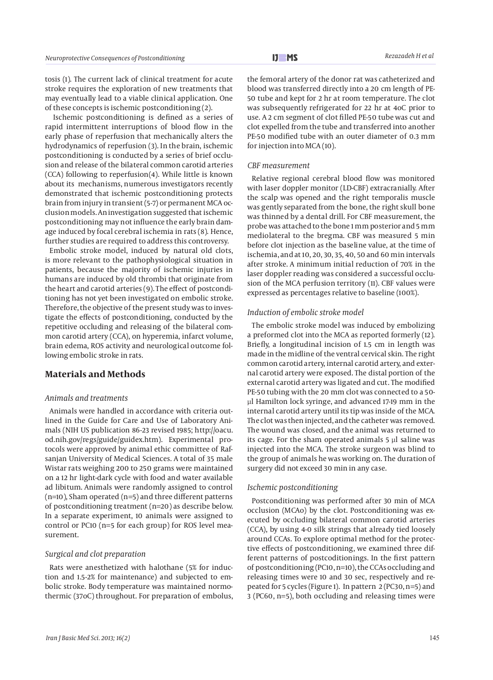Ischemic postconditioning is defined as a series of rapid intermittent interruptions of blood flow in the early phase of reperfusion that mechanically alters the hydrodynamics of reperfusion (3). In the brain, ischemic postconditioning is conducted by a series of brief occlusion and release of the bilateral common carotid arteries (CCA) following to reperfusion(4). While little is known about its mechanisms, numerous investigators recently demonstrated that ischemic postconditioning protects brain from injury in transient (5-7) or permanent MCA occlusion models. An investigation suggested that ischemic postconditioning may not influence the early brain damage induced by focal cerebral ischemia in rats (8). Hence, further studies are required to address this controversy.

Embolic stroke model, induced by natural old clots, is more relevant to the pathophysiological situation in patients, because the majority of ischemic injuries in humans are induced by old thrombi that originate from the heart and carotid arteries (9). The effect of postconditioning has not yet been investigated on embolic stroke. Therefore, the objective of the present study was to investigate the effects of postconditioning, conducted by the repetitive occluding and releasing of the bilateral common carotid artery (CCA), on hyperemia, infarct volume, brain edema, ROS activity and neurological outcome following embolic stroke in rats.

## **Materials and Methods**

## *Animals and treatments*

Animals were handled in accordance with criteria outlined in the Guide for Care and Use of Laboratory Animals (NIH US publication 86-23 revised 1985; http://oacu. od.nih.gov/regs/guide/guidex.htm). Experimental protocols were approved by animal ethic committee of Rafsanjan University of Medical Sciences. A total of 35 male Wistar rats weighing 200 to 250 grams were maintained on a 12 hr light-dark cycle with food and water available ad libitum. Animals were randomly assigned to control  $(n=10)$ , Sham operated  $(n=5)$  and three different patterns of postconditioning treatment (n=20) as describe below. In a separate experiment, 10 animals were assigned to control or PC10 (n=5 for each group) for ROS level measurement.

## *Surgical and clot preparation*

Rats were anesthetized with halothane (5% for induction and 1.5-2% for maintenance) and subjected to embolic stroke. Body temperature was maintained normothermic (37oC) throughout. For preparation of embolus,

the femoral artery of the donor rat was catheterized and blood was transferred directly into a 20 cm length of PE-50 tube and kept for 2 hr at room temperature. The clot was subsequently refrigerated for 22 hr at 4oC prior to use. A 2 cm segment of clot filled PE-50 tube was cut and clot expelled from the tube and transferred into another PE-50 modified tube with an outer diameter of 0.3 mm for injection into MCA (10).

#### *CBF measurement*

Relative regional cerebral blood flow was monitored with laser doppler monitor (LD-CBF) extracranially. After the scalp was opened and the right temporalis muscle was gently separated from the bone, the right skull bone was thinned by a dental drill. For CBF measurement, the probe was attached to the bone 1 mm posterior and 5 mm mediolateral to the bregma. CBF was measured 5 min before clot injection as the baseline value, at the time of ischemia, and at 10, 20, 30, 35, 40, 50 and 60 min intervals after stroke. A minimum initial reduction of 70% in the laser doppler reading was considered a successful occlusion of the MCA perfusion territory (11). CBF values were expressed as percentages relative to baseline (100%).

#### *Induction of embolic stroke model*

The embolic stroke model was induced by embolizing a preformed clot into the MCA as reported formerly (12). Briefly, a longitudinal incision of 1.5 cm in length was made in the midline of the ventral cervical skin. The right common carotid artery, internal carotid artery, and external carotid artery were exposed. The distal portion of the external carotid artery was ligated and cut. The modified PE-50 tubing with the 20 mm clot was connected to a 50 µl Hamilton lock syringe, and advanced 17-19 mm in the internal carotid artery until its tip was inside of the MCA. The clot was then injected, and the catheter was removed. The wound was closed, and the animal was returned to its cage. For the sham operated animals 5 µl saline was injected into the MCA. The stroke surgeon was blind to the group of animals he was working on. The duration of surgery did not exceed 30 min in any case.

#### *Ischemic postconditioning*

Postconditioning was performed after 30 min of MCA occlusion (MCAo) by the clot. Postconditioning was executed by occluding bilateral common carotid arteries (CCA), by using 4-0 silk strings that already tied loosely around CCAs. To explore optimal method for the protective effects of postconditioning, we examined three different patterns of postcoditionings. In the first pattern of postconditioning (PC10, n=10), the CCAs occluding and releasing times were 10 and 30 sec, respectively and repeated for 5 cycles (Figure 1). In pattern 2 (PC30, n=5) and 3 (PC60, n=5), both occluding and releasing times were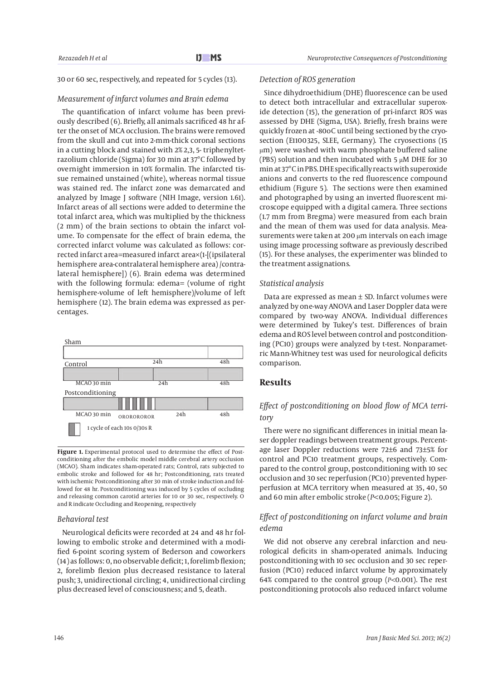#### 30 or 60 sec, respectively, and repeated for 5 cycles (13).

#### *Measurement of infarct volumes and Brain edema*

The quantification of infarct volume has been previously described (6). Briefly, all animals sacrificed 48 hr after the onset of MCA occlusion. The brains were removed from the skull and cut into 2-mm-thick coronal sections in a cutting block and stained with 2% 2,3, 5- triphenyltetrazolium chloride (Sigma) for 30 min at 37°C followed by overnight immersion in 10% formalin. The infarcted tissue remained unstained (white), whereas normal tissue was stained red. The infarct zone was demarcated and analyzed by Image J software (NIH Image, version 1.61). Infarct areas of all sections were added to determine the total infarct area, which was multiplied by the thickness (2 mm) of the brain sections to obtain the infarct volume. To compensate for the effect of brain edema, the corrected infarct volume was calculated as follows: corrected infarct area=measured infarct area×(1-[(ipsilateral hemisphere area-contralateral hemisphere area) /contralateral hemisphere]) (6). Brain edema was determined with the following formula: edema= (volume of right hemisphere-volume of left hemisphere)/volume of left hemisphere (12). The brain edema was expressed as percentages.



**Figure 1.** Experimental protocol used to determine the effect of Postconditioning after the embolic model middle cerebral artery occlusion (MCAO). Sham indicates sham-operated rats; Control, rats subjected to embolic stroke and followed for 48 hr; Postconditioning, rats treated with ischemic Postconditioning after 30 min of stroke induction and followed for 48 hr. Postconditioning was induced by 5 cycles of occluding and releasing common carotid arteries for 10 or 30 sec, respectively. O and R indicate Occluding and Reopening, respectively

#### *Behavioral test*

Neurological deficits were recorded at 24 and 48 hr following to embolic stroke and determined with a modified 6-point scoring system of Bederson and coworkers (14) as follows: 0, no observable deficit; 1, forelimb flexion; 2, forelimb flexion plus decreased resistance to lateral push; 3, unidirectional circling; 4, unidirectional circling plus decreased level of consciousness; and 5, death.

#### *Detection of ROS generation*

Since dihydroethidium (DHE) fluorescence can be used to detect both intracellular and extracellular superoxide detection (15), the generation of pri-infarct ROS was assessed by DHE (Sigma, USA). Briefly, fresh brains were quickly frozen at -80oC until being sectioned by the cryosection (E1100325, SLEE, Germany). The cryosections (15 μm) were washed with warm phosphate buffered saline (PBS) solution and then incubated with 5 μM DHE for 30 min at 37°C in PBS. DHE specifically reacts with superoxide anions and converts to the red fluorescence compound ethidium (Figure 5). The sections were then examined and photographed by using an inverted fluorescent microscope equipped with a digital camera. Three sections (1.7 mm from Bregma) were measured from each brain and the mean of them was used for data analysis. Measurements were taken at 200 μm intervals on each image using image processing software as previously described (15). For these analyses, the experimenter was blinded to the treatment assignations.

#### *Statistical analysis*

Data are expressed as mean  $\pm$  SD. Infarct volumes were analyzed by one-way ANOVA and Laser Doppler data were compared by two-way ANOVA. Individual differences were determined by Tukey's test. Differences of brain edema and ROS level between control and postconditioning (PC10) groups were analyzed by t-test. Nonparametric Mann-Whitney test was used for neurological deficits comparison.

#### **Results**

## *Effect of postconditioning on blood flow of MCA territory*

There were no significant differences in initial mean laser doppler readings between treatment groups. Percentage laser Doppler reductions were 72±6 and 73±5% for control and PC10 treatment groups, respectively. Compared to the control group, postconditioning with 10 sec occlusion and 30 sec reperfusion (PC10) prevented hyperperfusion at MCA territory when measured at 35, 40, 50 and 60 min after embolic stroke (*P*<0.005; Figure 2).

## *Effect of postconditioning on infarct volume and brain edema*

We did not observe any cerebral infarction and neurological deficits in sham-operated animals. Inducing postconditioning with 10 sec occlusion and 30 sec reperfusion (PC10) reduced infarct volume by approximately 64% compared to the control group (*P<*0.001). The rest postconditioning protocols also reduced infarct volume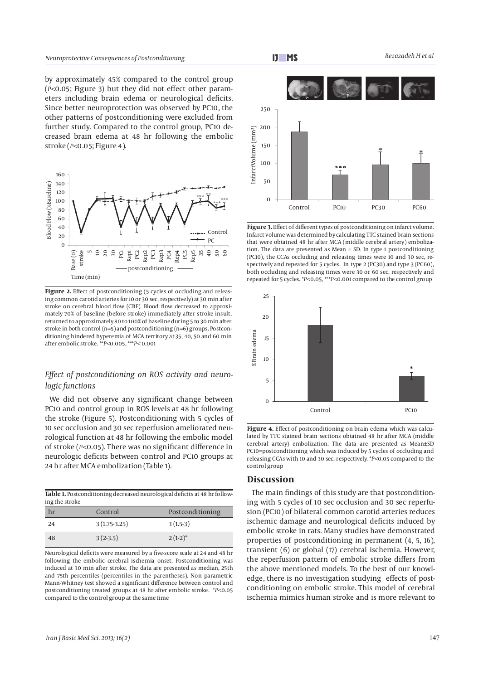by approximately 45% compared to the control group (*P<*0.05; Figure 3) but they did not effect other parameters including brain edema or neurological deficits. Since better neuroprotection was observed by PC10, the other patterns of postconditioning were excluded from further study. Compared to the control group, PC10 decreased brain edema at 48 hr following the embolic stroke (*P<*0.05; Figure 4).



Figure 2. Effect of postconditioning (5 cycles of occluding and releasing common carotid arteries for 10 or 30 sec, respectively) at 30 min after stroke on cerebral blood flow (CBF). Blood flow decreased to approximately 70% of baseline (before stroke) immediately after stroke insult, returned to approximately 80 to 100% of baseline during 5 to 30 min after stroke in both control ( $n=5$ ) and postconditioning ( $n=6$ ) groups. Postconditioning hindered hyperemia of MCA territory at 35, 40, 50 and 60 min after embolic stroke. \*\**P<*0.005, \*\*\**P<* 0.001

## *Effect of postconditioning on ROS activity and neurologic functions*

We did not observe any significant change between PC10 and control group in ROS levels at 48 hr following the stroke (Figure 5). Postconditioning with 5 cycles of 10 sec occlusion and 30 sec reperfusion ameliorated neurological function at 48 hr following the embolic model of stroke (*P<*0.05). There was no significant difference in neurologic deficits between control and PC10 groups at 24 hr after MCA embolization (Table 1).

| Table 1. Postconditioning decreased neurological deficits at 48 hr follow- |  |
|----------------------------------------------------------------------------|--|
| ing the stroke                                                             |  |

| hr | Control        | Postconditioning |
|----|----------------|------------------|
| 24 | $3(1.75-3.25)$ | $3(1.5-3)$       |
| 48 | $3(2-3.5)$     | $2(1-2)^{*}$     |

Neurological deficits were measured by a five-score scale at 24 and 48 hr following the embolic cerebral ischemia onset. Postconditioning was induced at 30 min after stroke. The data are presented as median, 25th and 75th percentiles (percentiles in the parentheses). Non parametric Mann-Whitney test showed a significant difference between control and postconditioning treated groups at 48 hr after embolic stroke. \**P<*0.05 compared to the control group at the same time



**Figure 3.** Effect of different types of postconditioning on infarct volume. Infarct volume was determined by calculating TTC stained brain sections that were obtained 48 hr after MCA (middle cerebral artery) embolization. The data are presented as Mean  $\pm$  SD. In type 1 postconditioning (PC10), the CCAs occluding and releasing times were 10 and 30 sec, respectively and repeated for 5 cycles. In type 2 (PC30) and type 3 (PC60), both occluding and releasing times were 30 or 60 sec, respectively and repeated for 5 cycles. \**P<*0.05, \*\*\**P<*0.001 compared to the control group



**Figure 4.** Effect of postconditioning on brain edema which was calculated by TTC stained brain sections obtained 48 hr after MCA (middle cerebral artery) embolization. The data are presented as Mean±SD PC10=postconditioning which was induced by 5 cycles of occluding and releasing CCAs with 10 and 30 sec, respectively. \**P<*0.05 compared to the control group

## **Discussion**

The main findings of this study are that postconditioning with 5 cycles of 10 sec occlusion and 30 sec reperfusion (PC10) of bilateral common carotid arteries reduces ischemic damage and neurological deficits induced by embolic stroke in rats. Many studies have demonstrated properties of postconditioning in permanent (4, 5, 16), transient (6) or global (17) cerebral ischemia. However, the reperfusion pattern of embolic stroke differs from the above mentioned models. To the best of our knowledge, there is no investigation studying effects of postconditioning on embolic stroke. This model of cerebral ischemia mimics human stroke and is more relevant to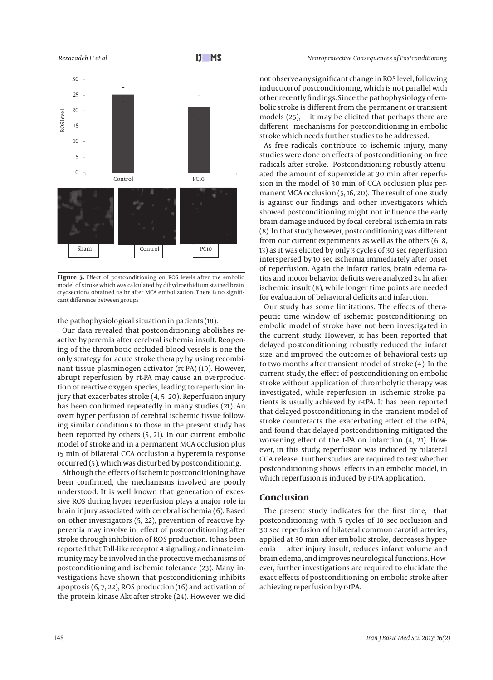

Figure 5. Effect of postconditioning on ROS levels after the embolic model of stroke which was calculated by dihydroethidium stained brain cryosections obtained 48 hr after MCA embolization. There is no significant difference between groups

the pathophysiological situation in patients (18).

Our data revealed that postconditioning abolishes reactive hyperemia after cerebral ischemia insult. Reopening of the thrombotic occluded blood vessels is one the only strategy for acute stroke therapy by using recombinant tissue plasminogen activator (rt-PA) (19). However, abrupt reperfusion by rt-PA may cause an overproduction of reactive oxygen species, leading to reperfusion injury that exacerbates stroke (4, 5, 20). Reperfusion injury has been confirmed repeatedly in many studies (21). An overt hyper perfusion of cerebral ischemic tissue following similar conditions to those in the present study has been reported by others (5, 21). In our current embolic model of stroke and in a permanent MCA occlusion plus 15 min of bilateral CCA occlusion a hyperemia response occurred (5), which was disturbed by postconditioning.

Although the effects of ischemic postconditioning have been confirmed, the mechanisms involved are poorly understood. It is well known that generation of excessive ROS during hyper reperfusion plays a major role in brain injury associated with cerebral ischemia (6). Based on other investigators (5, 22), prevention of reactive hyperemia may involve in effect of postconditioning after stroke through inhibition of ROS production. It has been reported that Toll-like receptor 4 signaling and innate immunity may be involved in the protective mechanisms of postconditioning and ischemic tolerance (23). Many investigations have shown that postconditioning inhibits apoptosis (6, 7, 22), ROS production (16) and activation of the protein kinase Akt after stroke (24). However, we did not observe any significant change in ROS level, following induction of postconditioning, which is not parallel with other recently findings. Since the pathophysiology of embolic stroke is different from the permanent or transient models (25), it may be elicited that perhaps there are different mechanisms for postconditioning in embolic stroke which needs further studies to be addressed.

As free radicals contribute to ischemic injury, many studies were done on effects of postconditioning on free radicals after stroke. Postconditioning robustly attenuated the amount of superoxide at 30 min after reperfusion in the model of 30 min of CCA occlusion plus permanent MCA occlusion (5, 16, 20). The result of one study is against our findings and other investigators which showed postconditioning might not influence the early brain damage induced by focal cerebral ischemia in rats (8). In that study however, postconditioning was different from our current experiments as well as the others (6, 8, 13) as it was elicited by only 3 cycles of 30 sec reperfusion interspersed by 10 sec ischemia immediately after onset of reperfusion. Again the infarct ratios, brain edema ratios and motor behavior deficits were analyzed 24 hr after ischemic insult (8), while longer time points are needed for evaluation of behavioral deficits and infarction.

Our study has some limitations. The effects of therapeutic time window of ischemic postconditioning on embolic model of stroke have not been investigated in the current study. However, it has been reported that delayed postconditioning robustly reduced the infarct size, and improved the outcomes of behavioral tests up to two months after transient model of stroke (4). In the current study, the effect of postconditioning on embolic stroke without application of thrombolytic therapy was investigated, while reperfusion in ischemic stroke patients is usually achieved by r-tPA. It has been reported that delayed postconditioning in the transient model of stroke counteracts the exacerbating effect of the r-tPA, and found that delayed postconditioning mitigated the worsening effect of the t-PA on infarction (4, 21). However, in this study, reperfusion was induced by bilateral CCA release. Further studies are required to test whether postconditioning shows effects in an embolic model, in which reperfusion is induced by r-tPA application.

## **Conclusion**

The present study indicates for the first time, that postconditioning with 5 cycles of 10 sec occlusion and 30 sec reperfusion of bilateral common carotid arteries, applied at 30 min after embolic stroke, decreases hyperemia after injury insult, reduces infarct volume and brain edema, and improves neurological functions. However, further investigations are required to elucidate the exact effects of postconditioning on embolic stroke after achieving reperfusion by r-tPA.